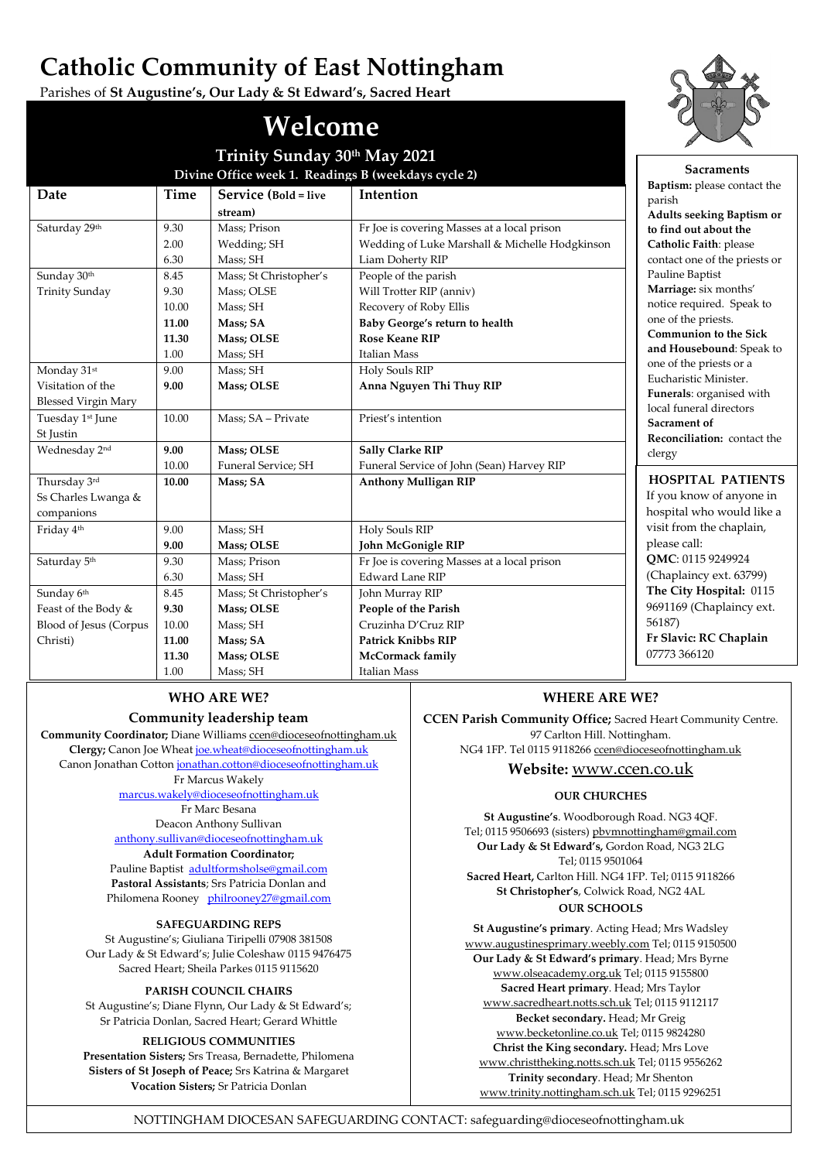# **Catholic Community of East Nottingham**

Parishes of **St Augustine's, Our Lady & St Edward's, Sacred Heart**

#### **Date Time Service (Bold = live stream) Intention** Saturday 29<sup>th</sup> 9.30 2.00 6.30 Mass; Prison Wedding; SH Mass; SH Fr Joe is covering Masses at a local prison Wedding of Luke Marshall & Michelle Hodgkinson Liam Doherty RIP Sunday 30<sup>th</sup> Trinity Sunday 8.45 9.30 10.00 **11.00 11.30** 1.00 Mass; St Christopher's Mass; OLSE Mass; SH **Mass; SA Mass; OLSE** Mass; SH People of the parish Will Trotter RIP (anniv) Recovery of Roby Ellis **Baby George's return to health Rose Keane RIP** Italian Mass Monday 31st Visitation of the Blessed Virgin Mary 9.00 **9.00** Mass; SH **Mass; OLSE** Holy Souls RIP **Anna Nguyen Thi Thuy RIP** Tuesday 1st June St Justin 10.00 Mass; SA – Private Priest's intention Wednesday 2<sup>nd</sup> 9.00 10.00 **Mass; OLSE** Funeral Service; SH **Sally Clarke RIP** Funeral Service of John (Sean) Harvey RIP Thursday 3rd Ss Charles Lwanga & companions **10.00 Mass; SA Anthony Mulligan RIP** Friday 4<sup>th</sup> 9.00 **9.00** Mass; SH **Mass; OLSE** Holy Souls RIP **John McGonigle RIP** Saturday 5<sup>th</sup> 9.30 6.30 Mass; Prison Mass; SH Fr Joe is covering Masses at a local prison Edward Lane RIP Sunday 6<sup>th</sup> Feast of the Body & Blood of Jesus (Corpus Christi) 8.45 **9.30** 10.00 **11.00 11.30** 1.00 Mass; St Christopher's **Mass; OLSE** Mass; SH **Mass; SA Mass; OLSE** Mass; SH John Murray RIP **People of the Parish** Cruzinha D'Cruz RIP **Patrick Knibbs RIP McCormack family** Italian Mass **Welcome Trinity Sunday 30th May 2021 Divine Office week 1. Readings B (weekdays cycle 2)**



## **Community leadership team**

**Community Coordinator;** Diane Williams [ccen@dioceseofnottingham.uk](mailto:ccen@dioceseofnottingham.uk) **Clergy;** Canon Joe Wheat [joe.wheat@dioceseofnottingham.uk](mailto:joe.wheat@dioceseofnottingham.uk) Canon Jonathan Cotton [jonathan.cotton@dioceseofnottingham.uk](mailto:jonathan.cotton@dioceseofnottingham.uk) Fr Marcus Wakely

> [marcus.wakely@dioceseofnottingham.uk](mailto:marcus.wakely@dioceseofnottingham.uk) Fr Marc Besana Deacon Anthony Sullivan [anthony.sullivan@dioceseofnottingham.uk](mailto:anthony.sullivan@dioceseofnottingham.uk)

**Adult Formation Coordinator;**

Pauline Baptist [adultformsholse@gmail.com](mailto:adultformsholse@gmail.com) **Pastoral Assistants**; Srs Patricia Donlan and Philomena Rooney [philrooney27@gmail.com](mailto:philrooney27@gmail.com)

#### **SAFEGUARDING REPS**

St Augustine's; Giuliana Tiripelli 07908 381508 Our Lady & St Edward's; Julie Coleshaw 0115 9476475 Sacred Heart; Sheila Parkes 0115 9115620

#### **PARISH COUNCIL CHAIRS**

St Augustine's; Diane Flynn, Our Lady & St Edward's; Sr Patricia Donlan, Sacred Heart; Gerard Whittle

#### **RELIGIOUS COMMUNITIES**

**Presentation Sisters;** Srs Treasa, Bernadette, Philomena **Sisters of St Joseph of Peace;** Srs Katrina & Margaret **Vocation Sisters;** Sr Patricia Donlan

# **WHERE ARE WE?**

**CCEN Parish Community Office;** Sacred Heart Community Centre. 97 Carlton Hill. Nottingham. NG4 1FP. Tel 0115 9118266 [ccen@dioceseofnottingham.uk](mailto:ccen@dioceseofnottingham.uk)

**Website:** [www.ccen.co.uk](http://www.ccen.co.uk/)

#### **OUR CHURCHES**

**St Augustine's**. Woodborough Road. NG3 4QF. Tel; 0115 9506693 (sisters[\) pbvmnottingham@gmail.com](mailto:pbvmnottingham@gmail.com) **Our Lady & St Edward's,** Gordon Road, NG3 2LG Tel; 0115 9501064 **Sacred Heart,** Carlton Hill. NG4 1FP. Tel; 0115 9118266 **St Christopher's**, Colwick Road, NG2 4AL **OUR SCHOOLS**

**St Augustine's primary**. Acting Head; Mrs Wadsley [www.augustinesprimary.weebly.com](http://www.augustinesprimary.weebly.com/) Tel; 0115 9150500 **Our Lady & St Edward's primary**. Head; Mrs Byrne [www.olseacademy.org.uk](http://www.olseacademy.org.uk/) Tel; 0115 9155800 **Sacred Heart primary**. Head; Mrs Taylor [www.sacredheart.notts.sch.uk](http://www.sacredheart.notts.sch.uk/) Tel; 0115 9112117 **Becket secondary.** Head; Mr Greig [www.becketonline.co.uk](http://www.becketonline.co.uk/) Tel; 0115 9824280 **Christ the King secondary.** Head; Mrs Love [www.christtheking.notts.sch.uk](http://www.christtheking.notts.sch.uk/) Tel; 0115 9556262 **Trinity secondary**. Head; Mr Shenton [www.trinity.nottingham.sch.uk](http://www.trinity.nottingham.sch.uk/) Tel; 0115 9296251

NOTTINGHAM DIOCESAN SAFEGUARDING CONTACT: safeguarding@dioceseofnottingham.uk



**Sacraments**